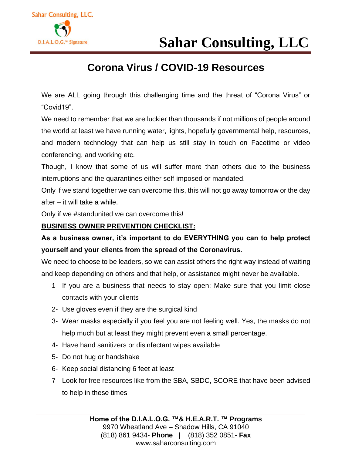

### **Corona Virus / COVID-19 Resources**

We are ALL going through this challenging time and the threat of "Corona Virus" or "Covid19".

We need to remember that we are luckier than thousands if not millions of people around the world at least we have running water, lights, hopefully governmental help, resources, and modern technology that can help us still stay in touch on Facetime or video conferencing, and working etc.

Though, I know that some of us will suffer more than others due to the business interruptions and the quarantines either self-imposed or mandated.

Only if we stand together we can overcome this, this will not go away tomorrow or the day after – it will take a while.

Only if we #standunited we can overcome this!

#### **BUSINESS OWNER PREVENTION CHECKLIST:**

**As a business owner, it's important to do EVERYTHING you can to help protect yourself and your clients from the spread of the Coronavirus.**

We need to choose to be leaders, so we can assist others the right way instead of waiting and keep depending on others and that help, or assistance might never be available.

- 1- If you are a business that needs to stay open: Make sure that you limit close contacts with your clients
- 2- Use gloves even if they are the surgical kind
- 3- Wear masks especially if you feel you are not feeling well. Yes, the masks do not help much but at least they might prevent even a small percentage.
- 4- Have hand sanitizers or disinfectant wipes available
- 5- Do not hug or handshake
- 6- Keep social distancing 6 feet at least
- 7- Look for free resources like from the SBA, SBDC, SCORE that have been advised to help in these times

**\_\_\_\_\_\_\_\_\_\_\_\_\_\_\_\_\_\_\_\_\_\_\_\_\_\_\_\_\_\_\_\_\_\_\_\_\_\_\_\_\_\_\_\_\_\_\_\_\_\_\_\_\_\_\_\_\_\_\_\_\_\_\_\_\_\_\_\_\_\_**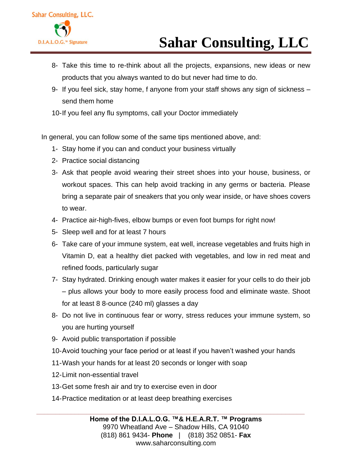

- 8- Take this time to re-think about all the projects, expansions, new ideas or new products that you always wanted to do but never had time to do.
- 9- If you feel sick, stay home, f anyone from your staff shows any sign of sickness send them home

10-If you feel any flu symptoms, call your Doctor immediately

In general, you can follow some of the same tips mentioned above, and:

- 1- Stay home if you can and conduct your business virtually
- 2- Practice social distancing
- 3- Ask that people avoid wearing their street shoes into your house, business, or workout spaces. This can help avoid tracking in any germs or bacteria. Please bring a separate pair of sneakers that you only wear inside, or have shoes covers to wear.
- 4- Practice air-high-fives, elbow bumps or even foot bumps for right now!
- 5- Sleep well and for at least 7 hours
- 6- Take care of your immune system, eat well, increase vegetables and fruits high in Vitamin D, eat a healthy diet packed with vegetables, and low in red meat and refined foods, particularly sugar
- 7- Stay hydrated. Drinking enough water makes it easier for your cells to do their job – plus allows your body to more easily process food and eliminate waste. Shoot for at least 8 8-ounce (240 ml) glasses a day
- 8- Do not live in continuous fear or worry, stress reduces your immune system, so you are hurting yourself
- 9- Avoid public transportation if possible
- 10-Avoid touching your face period or at least if you haven't washed your hands
- 11-Wash your hands for at least 20 seconds or longer with soap
- 12-Limit non-essential travel
- 13-Get some fresh air and try to exercise even in door
- 14-Practice meditation or at least deep breathing exercises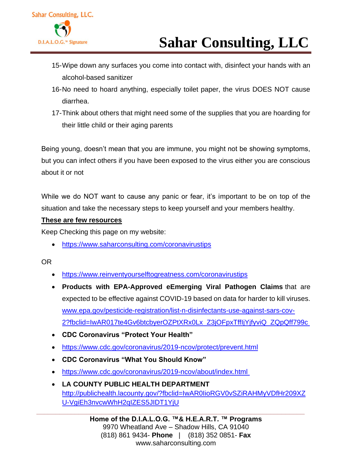

- 15-Wipe down any surfaces you come into contact with, disinfect your hands with an alcohol-based sanitizer
- 16-No need to hoard anything, especially toilet paper, the virus DOES NOT cause diarrhea.
- 17-Think about others that might need some of the supplies that you are hoarding for their little child or their aging parents

Being young, doesn't mean that you are immune, you might not be showing symptoms, but you can infect others if you have been exposed to the virus either you are conscious about it or not

While we do NOT want to cause any panic or fear, it's important to be on top of the situation and take the necessary steps to keep yourself and your members healthy.

#### **These are few resources**

Keep Checking this page on my website:

• <https://www.saharconsulting.com/coronavirustips>

#### OR

- <https://www.reinventyourselftogreatness.com/coronavirustips>
- **Products with EPA-Approved eEmerging Viral Pathogen Claims** that are expected to be effective against COVID-19 based on data for harder to kill viruses. [www.epa.gov/pesticide-registration/list-n-disinfectants-use-against-sars-cov-](https://www.epa.gov/pesticide-registration/list-n-disinfectants-use-against-sars-cov-2?fbclid=IwAR017te4Gv6btcbyerOZPtXRx0Lx_Z3jOFpxTffIjYjfyviQ_ZQpQff799c)[2?fbclid=IwAR017te4Gv6btcbyerOZPtXRx0Lx\\_Z3jOFpxTffIjYjfyviQ\\_ZQpQff799c](https://www.epa.gov/pesticide-registration/list-n-disinfectants-use-against-sars-cov-2?fbclid=IwAR017te4Gv6btcbyerOZPtXRx0Lx_Z3jOFpxTffIjYjfyviQ_ZQpQff799c)
- **CDC Coronavirus "Protect Your Health"**
- <https://www.cdc.gov/coronavirus/2019-ncov/protect/prevent.html>
- **CDC Coronavirus "What You Should Know"**
- <https://www.cdc.gov/coronavirus/2019-ncov/about/index.html>
- **LA COUNTY PUBLIC HEALTH DEPARTMENT** [http://publichealth.lacounty.gov/?fbclid=IwAR0IioRGV0vSZiRAHMyVDfHr209XZ](http://publichealth.lacounty.gov/?fbclid=IwAR0IioRGV0vSZiRAHMyVDfHr209XZU-VgiEh3nvcwWhH2qIZES5JIDT1YjU) [U-VgiEh3nvcwWhH2qIZES5JIDT1YjU](http://publichealth.lacounty.gov/?fbclid=IwAR0IioRGV0vSZiRAHMyVDfHr209XZU-VgiEh3nvcwWhH2qIZES5JIDT1YjU)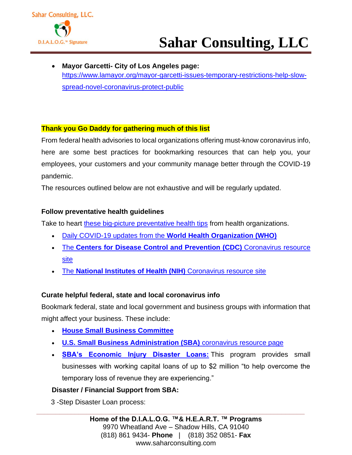

• **Mayor Garcetti- City of Los Angeles page:** [https://www.lamayor.org/mayor-garcetti-issues-temporary-restrictions-help-slow](https://www.lamayor.org/mayor-garcetti-issues-temporary-restrictions-help-slow-spread-novel-coronavirus-protect-public)[spread-novel-coronavirus-protect-public](https://www.lamayor.org/mayor-garcetti-issues-temporary-restrictions-help-slow-spread-novel-coronavirus-protect-public)

#### **Thank you Go Daddy for gathering much of this list**

From federal health advisories to local organizations offering must-know coronavirus info, here are some best practices for bookmarking resources that can help you, your employees, your customers and your community manage better through the COVID-19 pandemic.

The resources outlined below are not exhaustive and will be regularly updated.

#### **Follow preventative health guidelines**

Take to heart [these big-picture preventative health tips](https://www.cdc.gov/coronavirus/2019-ncov/about/prevention.html?CDC_AA_refVal=https%3A%2F%2Fwww.cdc.gov%2Fcoronavirus%2F2019-ncov%2Fabout%2Fprevention-treatment.html) from health organizations.

- Daily COVID-19 updates from the **[World Health Organization \(WHO\)](https://www.who.int/emergencies/diseases/novel-coronavirus-2019)**
- The **[Centers for Disease Control and Prevention \(CDC\)](https://www.cdc.gov/coronavirus/2019-ncov/index.html)** Coronavirus resource [site](https://www.cdc.gov/coronavirus/2019-ncov/index.html)
- The **[National Institutes of Health \(NIH\)](https://www.nih.gov/health-information/coronavirus#!/detail/403327)** Coronavirus resource site

#### **Curate helpful federal, state and local coronavirus info**

Bookmark federal, state and local government and business groups with information that might affect your business. These include:

- **[House Small Business Committee](https://smallbusiness.house.gov/calendar/eventsingle.aspx?EventID=3174)**
- **[U.S. Small Business Administration \(SBA\)](https://www.sba.gov/page/guidance-businesses-employers-plan-respond-coronavirus-disease-2019-covid-19)** coronavirus resource page
- **[SBA's Economic Injury Disaster Loans:](https://www.godaddy.com/garage/wp-admin/post.php?post=87396&action=edit&message=10)** This program provides small businesses with working capital loans of up to \$2 million "to help overcome the temporary loss of revenue they are experiencing."

#### **Disaster / Financial Support from SBA:**

3 -Step Disaster Loan process: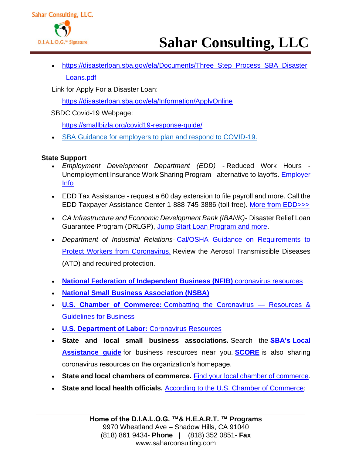

• [https://disasterloan.sba.gov/ela/Documents/Three\\_Step\\_Process\\_SBA\\_Disaster](https://disasterloan.sba.gov/ela/Documents/Three_Step_Process_SBA_Disaster_Loans.pdf) [\\_Loans.pdf](https://disasterloan.sba.gov/ela/Documents/Three_Step_Process_SBA_Disaster_Loans.pdf)

Link for Apply For a Disaster Loan:

<https://disasterloan.sba.gov/ela/Information/ApplyOnline>

SBDC Covid-19 Webpage:

<https://smallbizla.org/covid19-response-guide/>

• [SBA Guidance for employers to plan and respond to COVID-19.](http://r20.rs6.net/tn.jsp?f=001j50jXu0jq5s_fKsRzG_56Je1ea6XA1-81rzOwjd1LdMq0KrNv75S3IP17YrKLo82bNOVpcv6_uJApqIwmIwtHm4056Ut5Enep8HeZ1Rp9THx0qa0RQ5Nkb4lzUJkWPDdwc0L9B1bLuoNUaydOZEd8qaFjkQegG5y_cexX1LloqUjCO5b-Io0ghsTyw4VYnHBFB1dkT-3VCdhR7kjmMqUsv3UzxdI5el7_WUNNUHlVeQBz0VJmKzyzamzkYBq_sdm&c=OHxeBbPM555Oz4U0tb5m6QCkwgt8YcIvATsRiDp8Ot4PO9tZWUY_Uw==&ch=0wBlCxvkQi3D6aEs5yVRoyUpsDx_DqnlDEWUi4HRW_BqDC0Dxdd9qA==)

#### **State Support**

- *Employment Development Department (EDD) -* Reduced Work Hours Unemployment Insurance Work Sharing Program - alternative to layoffs. [Employer](http://r20.rs6.net/tn.jsp?f=001j50jXu0jq5s_fKsRzG_56Je1ea6XA1-81rzOwjd1LdMq0KrNv75S3OjpC7Lcs_SJqNzupo_1ryhcjFfeahrM7B0pZFtsNqozeJac0kfQj_Gd-fjRyuZCtktNNlyGAFB1A29Hgx9zJ3_SRwrmmGEqLP5X2WovWZtmHaRsUNBzYFVNoiBpSSMz7J3vbIfc0cJ1&c=OHxeBbPM555Oz4U0tb5m6QCkwgt8YcIvATsRiDp8Ot4PO9tZWUY_Uw==&ch=0wBlCxvkQi3D6aEs5yVRoyUpsDx_DqnlDEWUi4HRW_BqDC0Dxdd9qA==)  [Info](http://r20.rs6.net/tn.jsp?f=001j50jXu0jq5s_fKsRzG_56Je1ea6XA1-81rzOwjd1LdMq0KrNv75S3OjpC7Lcs_SJqNzupo_1ryhcjFfeahrM7B0pZFtsNqozeJac0kfQj_Gd-fjRyuZCtktNNlyGAFB1A29Hgx9zJ3_SRwrmmGEqLP5X2WovWZtmHaRsUNBzYFVNoiBpSSMz7J3vbIfc0cJ1&c=OHxeBbPM555Oz4U0tb5m6QCkwgt8YcIvATsRiDp8Ot4PO9tZWUY_Uw==&ch=0wBlCxvkQi3D6aEs5yVRoyUpsDx_DqnlDEWUi4HRW_BqDC0Dxdd9qA==)
- EDD Tax Assistance request a 60 day extension to file payroll and more. Call the EDD Taxpayer Assistance Center 1-888-745-3886 (toll-free). [More from EDD>>>](http://r20.rs6.net/tn.jsp?f=001j50jXu0jq5s_fKsRzG_56Je1ea6XA1-81rzOwjd1LdMq0KrNv75S3IP17YrKLo82_ReneGJVIje47bGQChZZTciRIQPFtjJeg7WwVp-qEy9WT_EibdzaXmclWmcBuZrm9ZXPsPQH7N28-c9dj2qkV0WlOzet-i7sH2PhMCuN1sXYuJlI9Rqjlh_yfRRxn7ts&c=OHxeBbPM555Oz4U0tb5m6QCkwgt8YcIvATsRiDp8Ot4PO9tZWUY_Uw==&ch=0wBlCxvkQi3D6aEs5yVRoyUpsDx_DqnlDEWUi4HRW_BqDC0Dxdd9qA==)
- *CA Infrastructure and Economic Development Bank (IBANK)-* Disaster Relief Loan Guarantee Program (DRLGP), [Jump Start Loan Program and more.](http://r20.rs6.net/tn.jsp?f=001j50jXu0jq5s_fKsRzG_56Je1ea6XA1-81rzOwjd1LdMq0KrNv75S3OjpC7Lcs_SJVMpsEWh7cvKFQThHWN_bPthumpAzQ_IpsumVoQ5qzCJSjQohL3sIKP90sqcZVJEWx0WvATnpZvqL58LWbVLBM32RBsaNyenBX9dHeduhYjb74to5uRDq5vAfgeMzhO2S&c=OHxeBbPM555Oz4U0tb5m6QCkwgt8YcIvATsRiDp8Ot4PO9tZWUY_Uw==&ch=0wBlCxvkQi3D6aEs5yVRoyUpsDx_DqnlDEWUi4HRW_BqDC0Dxdd9qA==)
- *Department of Industrial Relations-* [Cal/OSHA Guidance on Requirements to](http://r20.rs6.net/tn.jsp?f=001j50jXu0jq5s_fKsRzG_56Je1ea6XA1-81rzOwjd1LdMq0KrNv75S3OjpC7Lcs_SJSwv3TUFWk53PkHlD1vmRQnX6OjK5Pj2dzaI1XjUjRmwnpln-oI7vie4mnI4chgQByALh6cM49PoaQRbEOuK-j9FwoS1rZa2-jiyRzy_26SvjyADGQto5lYlExsn3lkenmz3c_8VJoQl9D0H7d51PQQ==&c=OHxeBbPM555Oz4U0tb5m6QCkwgt8YcIvATsRiDp8Ot4PO9tZWUY_Uw==&ch=0wBlCxvkQi3D6aEs5yVRoyUpsDx_DqnlDEWUi4HRW_BqDC0Dxdd9qA==)  [Protect Workers from Coronavirus.](http://r20.rs6.net/tn.jsp?f=001j50jXu0jq5s_fKsRzG_56Je1ea6XA1-81rzOwjd1LdMq0KrNv75S3OjpC7Lcs_SJSwv3TUFWk53PkHlD1vmRQnX6OjK5Pj2dzaI1XjUjRmwnpln-oI7vie4mnI4chgQByALh6cM49PoaQRbEOuK-j9FwoS1rZa2-jiyRzy_26SvjyADGQto5lYlExsn3lkenmz3c_8VJoQl9D0H7d51PQQ==&c=OHxeBbPM555Oz4U0tb5m6QCkwgt8YcIvATsRiDp8Ot4PO9tZWUY_Uw==&ch=0wBlCxvkQi3D6aEs5yVRoyUpsDx_DqnlDEWUi4HRW_BqDC0Dxdd9qA==) Review the Aerosol Transmissible Diseases (ATD) and required protection.
- **[National Federation of Independent Business \(NFIB\)](https://www.nfib.com/search/?query=coronavirus)** coronavirus resources
- **[National Small Business Association \(NSBA\)](https://nsba.biz/)**
- **U.S. Chamber of Commerce:** [Combatting the Coronavirus —](https://www.uschamber.com/coronavirus) Resources & [Guidelines for Business](https://www.uschamber.com/coronavirus)
- **[U.S. Department of Labor:](https://www.dol.gov/coronavirus)** Coronavirus Resources
- **State and local small business associations.** Search the **[SBA's](https://www.sba.gov/local-assistance) Local [Assistance guide](https://www.sba.gov/local-assistance)** for business resources near you. **[SCORE](https://www.score.org/)** is also sharing coronavirus resources on the organization's homepage.
- **State and local chambers of commerce.** [Find your local chamber of commerce.](https://www.chamberofcommerce.com/chambers/)
- **State and local health officials.** [According to the U.S. Chamber of Commerce:](https://www.uschamber.com/coronavirus)

**\_\_\_\_\_\_\_\_\_\_\_\_\_\_\_\_\_\_\_\_\_\_\_\_\_\_\_\_\_\_\_\_\_\_\_\_\_\_\_\_\_\_\_\_\_\_\_\_\_\_\_\_\_\_\_\_\_\_\_\_\_\_\_\_\_\_\_\_\_\_**